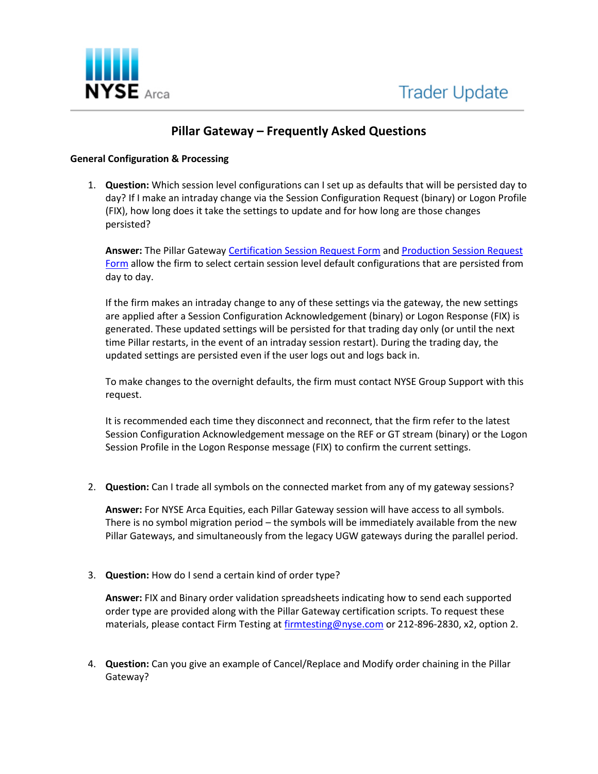

# **Pillar Gateway – Frequently Asked Questions**

## **General Configuration & Processing**

1. **Question:** Which session level configurations can I set up as defaults that will be persisted day to day? If I make an intraday change via the Session Configuration Request (binary) or Logon Profile (FIX), how long does it take the settings to update and for how long are those changes persisted?

**Answer:** The Pillar Gateway [Certification Session Request Form](https://www.nyse.com/publicdocs/nyse/markets/nyse-arca/NYSE_Pillar_Cert_Session_Request_Form.pdf) an[d Production Session Request](https://www.nyse.com/publicdocs/NYSE_Pillar_NGW_Session_Request_Form.pdf)  [Form](https://www.nyse.com/publicdocs/NYSE_Pillar_NGW_Session_Request_Form.pdf) allow the firm to select certain session level default configurations that are persisted from day to day.

If the firm makes an intraday change to any of these settings via the gateway, the new settings are applied after a Session Configuration Acknowledgement (binary) or Logon Response (FIX) is generated. These updated settings will be persisted for that trading day only (or until the next time Pillar restarts, in the event of an intraday session restart). During the trading day, the updated settings are persisted even if the user logs out and logs back in.

To make changes to the overnight defaults, the firm must contact NYSE Group Support with this request.

It is recommended each time they disconnect and reconnect, that the firm refer to the latest Session Configuration Acknowledgement message on the REF or GT stream (binary) or the Logon Session Profile in the Logon Response message (FIX) to confirm the current settings.

2. **Question:** Can I trade all symbols on the connected market from any of my gateway sessions?

**Answer:** For NYSE Arca Equities, each Pillar Gateway session will have access to all symbols. There is no symbol migration period – the symbols will be immediately available from the new Pillar Gateways, and simultaneously from the legacy UGW gateways during the parallel period.

3. **Question:** How do I send a certain kind of order type?

**Answer:** FIX and Binary order validation spreadsheets indicating how to send each supported order type are provided along with the Pillar Gateway certification scripts. To request these materials, please contact Firm Testing at [firmtesting@nyse.com](mailto:firmtesting@nyse.com) or 212-896-2830, x2, option 2.

4. **Question:** Can you give an example of Cancel/Replace and Modify order chaining in the Pillar Gateway?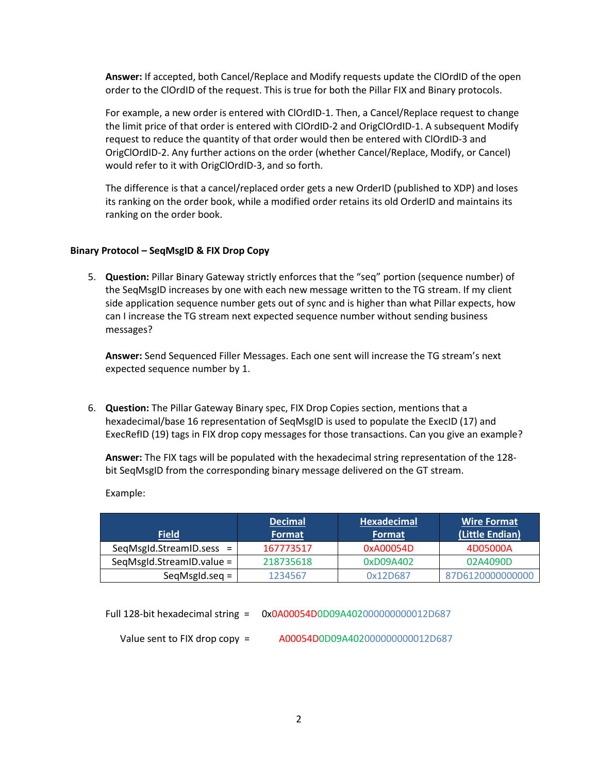**Answer:** If accepted, both Cancel/Replace and Modify requests update the ClOrdID of the open order to the ClOrdID of the request. This is true for both the Pillar FIX and Binary protocols.

For example, a new order is entered with ClOrdID-1. Then, a Cancel/Replace request to change the limit price of that order is entered with ClOrdID-2 and OrigClOrdID-1. A subsequent Modify request to reduce the quantity of that order would then be entered with ClOrdID-3 and OrigClOrdID-2. Any further actions on the order (whether Cancel/Replace, Modify, or Cancel) would refer to it with OrigClOrdID-3, and so forth.

The difference is that a cancel/replaced order gets a new OrderID (published to XDP) and loses its ranking on the order book, while a modified order retains its old OrderID and maintains its ranking on the order book.

## **Binary Protocol – SeqMsgID & FIX Drop Copy**

5. **Question:** Pillar Binary Gateway strictly enforces that the "seq" portion (sequence number) of the SeqMsgID increases by one with each new message written to the TG stream. If my client side application sequence number gets out of sync and is higher than what Pillar expects, how can I increase the TG stream next expected sequence number without sending business messages?

**Answer:** Send Sequenced Filler Messages. Each one sent will increase the TG stream's next expected sequence number by 1.

6. **Question:** The Pillar Gateway Binary spec, FIX Drop Copies section, mentions that a hexadecimal/base 16 representation of SeqMsgID is used to populate the ExecID (17) and ExecRefID (19) tags in FIX drop copy messages for those transactions. Can you give an example?

**Answer:** The FIX tags will be populated with the hexadecimal string representation of the 128 bit SeqMsgID from the corresponding binary message delivered on the GT stream.

Example:

|                              | <b>Decimal</b> | <b>Hexadecimal</b> | <b>Wire Format</b> |
|------------------------------|----------------|--------------------|--------------------|
| <b>Field</b>                 | <b>Format</b>  | Format             | (Little Endian)    |
| SeqMsgId.StreamID.sess =     | 167773517      | 0xA00054D          | 4D05000A           |
| $SeqMsgld. StreamID.value =$ | 218735618      | 0xD09A402          | 02A4090D           |
| $SeqMsgld.seq =$             | 1234567        | 0x12D687           | 87D6120000000000   |

Full 128-bit hexadecimal string = 0x0A00054D0D09A402000000000012D687 Value sent to FIX drop copy = A00054D0D09A402000000000012D687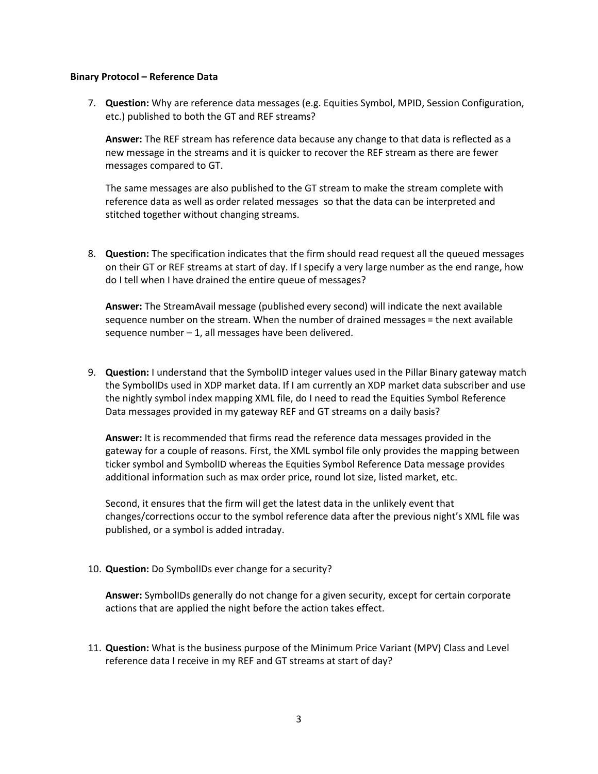#### **Binary Protocol – Reference Data**

7. **Question:** Why are reference data messages (e.g. Equities Symbol, MPID, Session Configuration, etc.) published to both the GT and REF streams?

**Answer:** The REF stream has reference data because any change to that data is reflected as a new message in the streams and it is quicker to recover the REF stream as there are fewer messages compared to GT.

The same messages are also published to the GT stream to make the stream complete with reference data as well as order related messages so that the data can be interpreted and stitched together without changing streams.

8. **Question:** The specification indicates that the firm should read request all the queued messages on their GT or REF streams at start of day. If I specify a very large number as the end range, how do I tell when I have drained the entire queue of messages?

**Answer:** The StreamAvail message (published every second) will indicate the next available sequence number on the stream. When the number of drained messages = the next available sequence number – 1, all messages have been delivered.

9. **Question:** I understand that the SymbolID integer values used in the Pillar Binary gateway match the SymbolIDs used in XDP market data. If I am currently an XDP market data subscriber and use the nightly symbol index mapping XML file, do I need to read the Equities Symbol Reference Data messages provided in my gateway REF and GT streams on a daily basis?

**Answer:** It is recommended that firms read the reference data messages provided in the gateway for a couple of reasons. First, the XML symbol file only provides the mapping between ticker symbol and SymbolID whereas the Equities Symbol Reference Data message provides additional information such as max order price, round lot size, listed market, etc.

Second, it ensures that the firm will get the latest data in the unlikely event that changes/corrections occur to the symbol reference data after the previous night's XML file was published, or a symbol is added intraday.

10. **Question:** Do SymbolIDs ever change for a security?

**Answer:** SymbolIDs generally do not change for a given security, except for certain corporate actions that are applied the night before the action takes effect.

11. **Question:** What is the business purpose of the Minimum Price Variant (MPV) Class and Level reference data I receive in my REF and GT streams at start of day?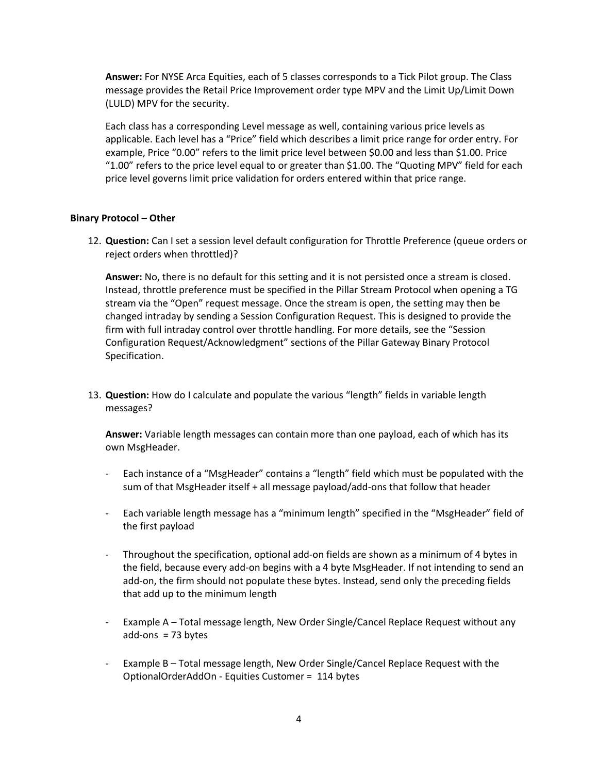**Answer:** For NYSE Arca Equities, each of 5 classes corresponds to a Tick Pilot group. The Class message provides the Retail Price Improvement order type MPV and the Limit Up/Limit Down (LULD) MPV for the security.

Each class has a corresponding Level message as well, containing various price levels as applicable. Each level has a "Price" field which describes a limit price range for order entry. For example, Price "0.00" refers to the limit price level between \$0.00 and less than \$1.00. Price "1.00" refers to the price level equal to or greater than \$1.00. The "Quoting MPV" field for each price level governs limit price validation for orders entered within that price range.

## **Binary Protocol – Other**

12. **Question:** Can I set a session level default configuration for Throttle Preference (queue orders or reject orders when throttled)?

**Answer:** No, there is no default for this setting and it is not persisted once a stream is closed. Instead, throttle preference must be specified in the Pillar Stream Protocol when opening a TG stream via the "Open" request message. Once the stream is open, the setting may then be changed intraday by sending a Session Configuration Request. This is designed to provide the firm with full intraday control over throttle handling. For more details, see the "Session Configuration Request/Acknowledgment" sections of the Pillar Gateway Binary Protocol Specification.

13. **Question:** How do I calculate and populate the various "length" fields in variable length messages?

**Answer:** Variable length messages can contain more than one payload, each of which has its own MsgHeader.

- Each instance of a "MsgHeader" contains a "length" field which must be populated with the sum of that MsgHeader itself + all message payload/add-ons that follow that header
- Each variable length message has a "minimum length" specified in the "MsgHeader" field of the first payload
- Throughout the specification, optional add-on fields are shown as a minimum of 4 bytes in the field, because every add-on begins with a 4 byte MsgHeader. If not intending to send an add-on, the firm should not populate these bytes. Instead, send only the preceding fields that add up to the minimum length
- Example A Total message length, New Order Single/Cancel Replace Request without any  $add-ons = 73 bytes$
- Example B Total message length, New Order Single/Cancel Replace Request with the OptionalOrderAddOn - Equities Customer = 114 bytes